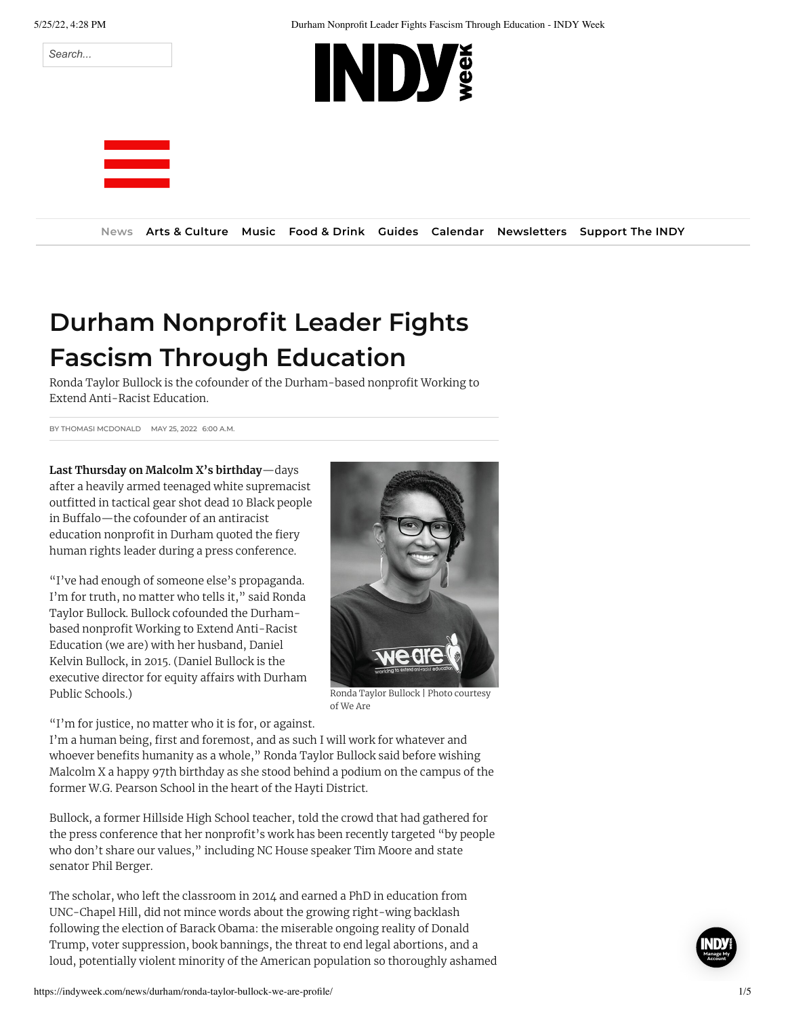



## **Durham Nonprofit Leader Fights Fascism Through Education**

Ronda Taylor Bullock is the cofounder of the Durham-based nonprofit Working to Extend Anti-Racist Education.

BY THOMASI [MCDONALD](https://indyweek.com/topics/thomasi-mcdonald/) MAY 25, 2022 6:00 A.M.

**Last Thursday on Malcolm X's birthday**—days after a heavily armed teenaged white supremacist outfitted in tactical gear shot dead 10 Black people in Buffalo—the cofounder of an antiracist education nonprofit in Durham quoted the fiery human rights leader during a press conference.

"I've had enough of someone else's propaganda. I'm for truth, no matter who tells it," said Ronda Taylor Bullock. Bullock cofounded the Durhambased nonprofit Working to Extend Anti-Racist Education (we are) with her husband, Daniel Kelvin Bullock, in 2015. (Daniel Bullock is the executive director for equity affairs with Durham Public Schools.)



of We Are

"I'm for justice, no matter who it is for, or against.

I'm a human being, first and foremost, and as such I will work for whatever and whoever benefits humanity as a whole," Ronda Taylor Bullock said before wishing Malcolm X a happy 97th birthday as she stood behind a podium on the campus of the former W.G. Pearson School in the heart of the Hayti District.

Bullock, a former Hillside High School teacher, told the crowd that had gathered for the press conference that her nonprofit's work has been recently targeted "by people who don't share our values," including NC House speaker Tim Moore and state senator Phil Berger.

The scholar, who left the classroom in 2014 and earned a PhD in education from UNC-Chapel Hill, did not mince words about the growing right-wing backlash following the election of Barack Obama: the miserable ongoing reality of Donald Trump, voter suppression, book bannings, the threat to end legal abortions, and a loud, potentially violent minority of the American population so thoroughly ashamed

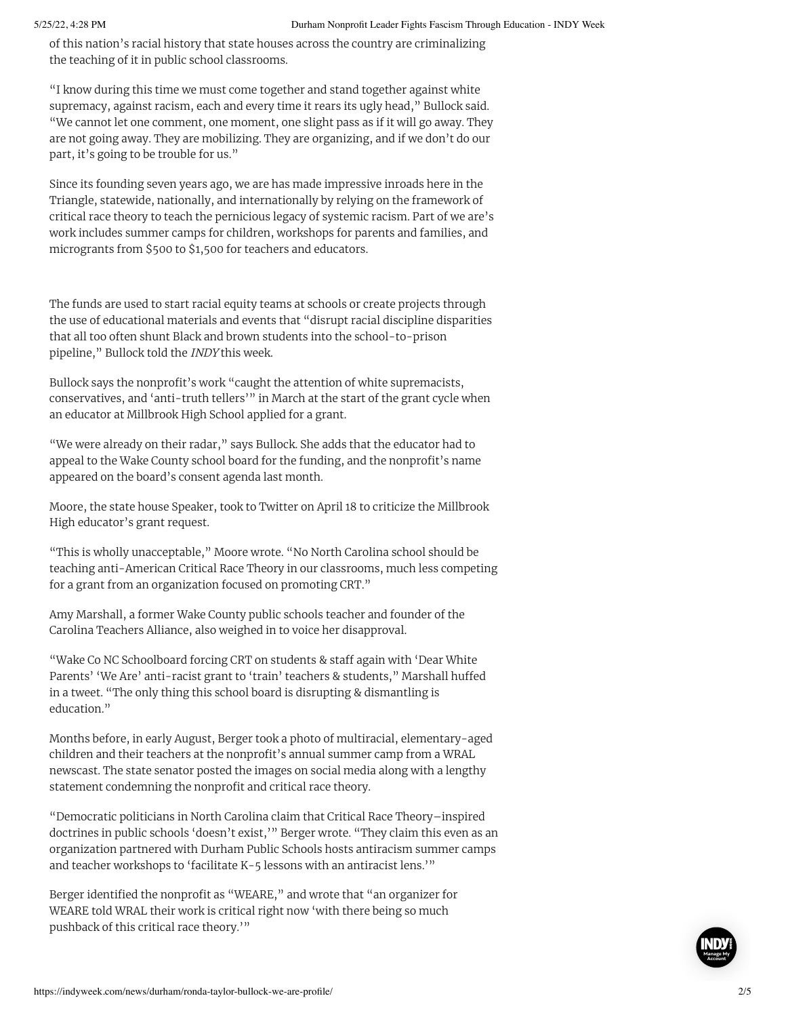of this nation's racial history that state houses across the country are criminalizing the teaching of it in public school classrooms.

"I know during this time we must come together and stand together against white supremacy, against racism, each and every time it rears its ugly head," Bullock said. "We cannot let one comment, one moment, one slight pass as if it will go away. They are not going away. They are mobilizing. They are organizing, and if we don't do our part, it's going to be trouble for us."

Since its founding seven years ago, we are has made impressive inroads here in the Triangle, statewide, nationally, and internationally by relying on the framework of critical race theory to teach the pernicious legacy of systemic racism. Part of we are's work includes summer camps for children, workshops for parents and families, and microgrants from \$500 to \$1,500 for teachers and educators.

The funds are used to start racial equity teams at schools or create projects through the use of educational materials and events that "disrupt racial discipline disparities that all too often shunt Black and brown students into the school-to-prison pipeline," Bullock told the INDY this week.

Bullock says the nonprofit's work "caught the attention of white supremacists, conservatives, and 'anti-truth tellers'" in March at the start of the grant cycle when an educator at Millbrook High School applied for a grant.

"We were already on their radar," says Bullock. She adds that the educator had to appeal to the Wake County school board for the funding, and the nonprofit's name appeared on the board's consent agenda last month.

Moore, the state house Speaker, took to Twitter on April 18 to criticize the Millbrook High educator's grant request.

"This is wholly unacceptable," Moore wrote. "No North Carolina school should be teaching anti-American Critical Race Theory in our classrooms, much less competing for a grant from an organization focused on promoting CRT."

Amy Marshall, a former Wake County public schools teacher and founder of the Carolina Teachers Alliance, also weighed in to voice her disapproval.

"Wake Co NC Schoolboard forcing CRT on students & staff again with 'Dear White Parents' 'We Are' anti-racist grant to 'train' teachers & students," Marshall huffed in a tweet. "The only thing this school board is disrupting & dismantling is education."

Months before, in early August, Berger took a photo of multiracial, elementary-aged children and their teachers at the nonprofit's annual summer camp from a WRAL newscast. The state senator posted the images on social media along with a lengthy statement condemning the nonprofit and critical race theory.

"Democratic politicians in North Carolina claim that Critical Race Theory–inspired doctrines in public schools 'doesn't exist,'" Berger wrote. "They claim this even as an organization partnered with Durham Public Schools hosts antiracism summer camps and teacher workshops to 'facilitate K-5 lessons with an antiracist lens.'"

Berger identified the nonprofit as "WEARE," and wrote that "an organizer for WEARE told WRAL their work is critical right now 'with there being so much pushback of this critical race theory.'"